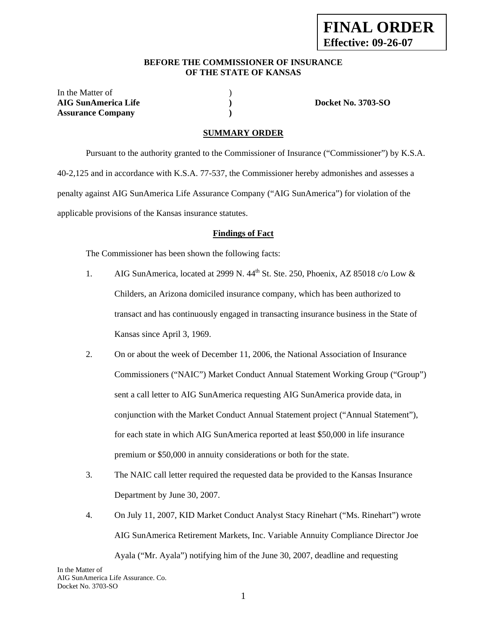#### **BEFORE THE COMMISSIONER OF INSURANCE OF THE STATE OF KANSAS**

In the Matter of  $\hspace{1.5cm}$  ) **AIG SunAmerica Life ) Docket No. 3703-SO Assurance Company )** 

## **SUMMARY ORDER**

 Pursuant to the authority granted to the Commissioner of Insurance ("Commissioner") by K.S.A. 40-2,125 and in accordance with K.S.A. 77-537, the Commissioner hereby admonishes and assesses a penalty against AIG SunAmerica Life Assurance Company ("AIG SunAmerica") for violation of the applicable provisions of the Kansas insurance statutes.

#### **Findings of Fact**

The Commissioner has been shown the following facts:

- 1. AIG SunAmerica, located at 2999 N. 44<sup>th</sup> St. Ste. 250, Phoenix, AZ 85018 c/o Low & Childers, an Arizona domiciled insurance company, which has been authorized to transact and has continuously engaged in transacting insurance business in the State of Kansas since April 3, 1969.
- 2. On or about the week of December 11, 2006, the National Association of Insurance Commissioners ("NAIC") Market Conduct Annual Statement Working Group ("Group") sent a call letter to AIG SunAmerica requesting AIG SunAmerica provide data, in conjunction with the Market Conduct Annual Statement project ("Annual Statement"), for each state in which AIG SunAmerica reported at least \$50,000 in life insurance premium or \$50,000 in annuity considerations or both for the state.
- 3. The NAIC call letter required the requested data be provided to the Kansas Insurance Department by June 30, 2007.
- 4. On July 11, 2007, KID Market Conduct Analyst Stacy Rinehart ("Ms. Rinehart") wrote AIG SunAmerica Retirement Markets, Inc. Variable Annuity Compliance Director Joe Ayala ("Mr. Ayala") notifying him of the June 30, 2007, deadline and requesting

In the Matter of AIG SunAmerica Life Assurance. Co. Docket No. 3703-SO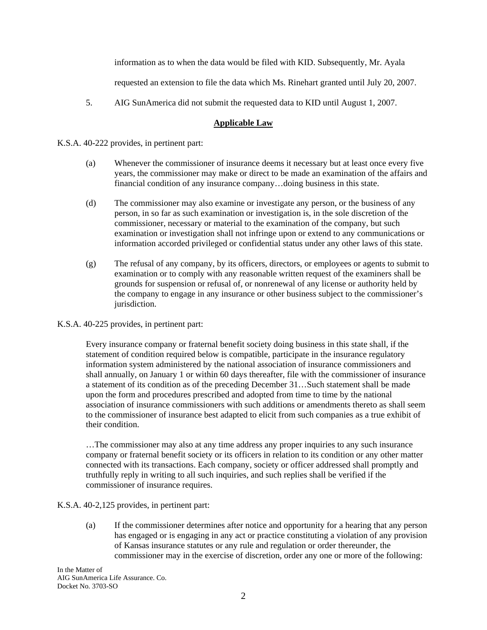information as to when the data would be filed with KID. Subsequently, Mr. Ayala

requested an extension to file the data which Ms. Rinehart granted until July 20, 2007.

5. AIG SunAmerica did not submit the requested data to KID until August 1, 2007.

## **Applicable Law**

K.S.A. 40-222 provides, in pertinent part:

- (a) Whenever the commissioner of insurance deems it necessary but at least once every five years, the commissioner may make or direct to be made an examination of the affairs and financial condition of any insurance company…doing business in this state.
- (d) The commissioner may also examine or investigate any person, or the business of any person, in so far as such examination or investigation is, in the sole discretion of the commissioner, necessary or material to the examination of the company, but such examination or investigation shall not infringe upon or extend to any communications or information accorded privileged or confidential status under any other laws of this state.
- (g) The refusal of any company, by its officers, directors, or employees or agents to submit to examination or to comply with any reasonable written request of the examiners shall be grounds for suspension or refusal of, or nonrenewal of any license or authority held by the company to engage in any insurance or other business subject to the commissioner's jurisdiction.

## K.S.A. 40-225 provides, in pertinent part:

Every insurance company or fraternal benefit society doing business in this state shall, if the statement of condition required below is compatible, participate in the insurance regulatory information system administered by the national association of insurance commissioners and shall annually, on January 1 or within 60 days thereafter, file with the commissioner of insurance a statement of its condition as of the preceding December 31…Such statement shall be made upon the form and procedures prescribed and adopted from time to time by the national association of insurance commissioners with such additions or amendments thereto as shall seem to the commissioner of insurance best adapted to elicit from such companies as a true exhibit of their condition.

…The commissioner may also at any time address any proper inquiries to any such insurance company or fraternal benefit society or its officers in relation to its condition or any other matter connected with its transactions. Each company, society or officer addressed shall promptly and truthfully reply in writing to all such inquiries, and such replies shall be verified if the commissioner of insurance requires.

K.S.A. 40-2,125 provides, in pertinent part:

(a) If the commissioner determines after notice and opportunity for a hearing that any person has engaged or is engaging in any act or practice constituting a violation of any provision of Kansas insurance statutes or any rule and regulation or order thereunder, the commissioner may in the exercise of discretion, order any one or more of the following:

In the Matter of AIG SunAmerica Life Assurance. Co. Docket No. 3703-SO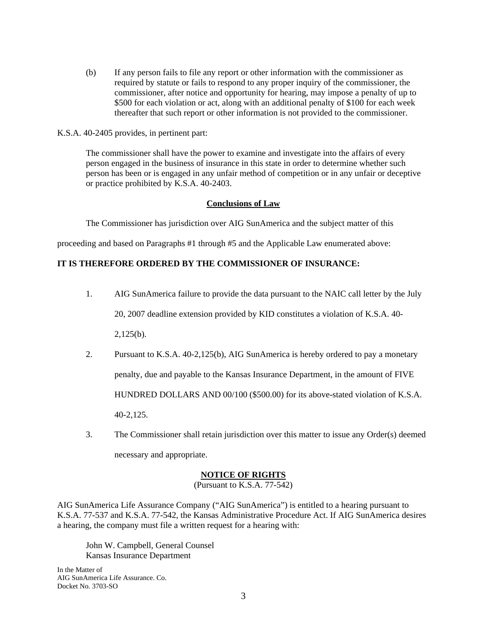(b) If any person fails to file any report or other information with the commissioner as required by statute or fails to respond to any proper inquiry of the commissioner, the commissioner, after notice and opportunity for hearing, may impose a penalty of up to \$500 for each violation or act, along with an additional penalty of \$100 for each week thereafter that such report or other information is not provided to the commissioner.

#### K.S.A. 40-2405 provides, in pertinent part:

The commissioner shall have the power to examine and investigate into the affairs of every person engaged in the business of insurance in this state in order to determine whether such person has been or is engaged in any unfair method of competition or in any unfair or deceptive or practice prohibited by K.S.A. 40-2403.

#### **Conclusions of Law**

The Commissioner has jurisdiction over AIG SunAmerica and the subject matter of this

proceeding and based on Paragraphs #1 through #5 and the Applicable Law enumerated above:

# **IT IS THEREFORE ORDERED BY THE COMMISSIONER OF INSURANCE:**

1. AIG SunAmerica failure to provide the data pursuant to the NAIC call letter by the July

20, 2007 deadline extension provided by KID constitutes a violation of K.S.A. 40-

2,125(b).

2. Pursuant to K.S.A. 40-2,125(b), AIG SunAmerica is hereby ordered to pay a monetary penalty, due and payable to the Kansas Insurance Department, in the amount of FIVE HUNDRED DOLLARS AND 00/100 (\$500.00) for its above-stated violation of K.S.A.

40-2,125.

3. The Commissioner shall retain jurisdiction over this matter to issue any Order(s) deemed necessary and appropriate.

## **NOTICE OF RIGHTS**

(Pursuant to K.S.A. 77-542)

AIG SunAmerica Life Assurance Company ("AIG SunAmerica") is entitled to a hearing pursuant to K.S.A. 77-537 and K.S.A. 77-542, the Kansas Administrative Procedure Act. If AIG SunAmerica desires a hearing, the company must file a written request for a hearing with:

 John W. Campbell, General Counsel Kansas Insurance Department

In the Matter of AIG SunAmerica Life Assurance. Co. Docket No. 3703-SO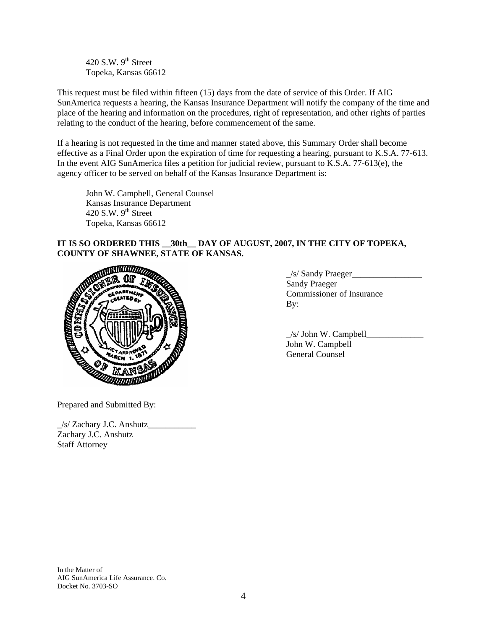420 S.W.  $9<sup>th</sup>$  Street Topeka, Kansas 66612

This request must be filed within fifteen (15) days from the date of service of this Order. If AIG SunAmerica requests a hearing, the Kansas Insurance Department will notify the company of the time and place of the hearing and information on the procedures, right of representation, and other rights of parties relating to the conduct of the hearing, before commencement of the same.

If a hearing is not requested in the time and manner stated above, this Summary Order shall become effective as a Final Order upon the expiration of time for requesting a hearing, pursuant to K.S.A. 77-613. In the event AIG SunAmerica files a petition for judicial review, pursuant to K.S.A. 77-613(e), the agency officer to be served on behalf of the Kansas Insurance Department is:

 John W. Campbell, General Counsel Kansas Insurance Department 420 S.W.  $9<sup>th</sup>$  Street Topeka, Kansas 66612

# **IT IS SO ORDERED THIS \_\_30th\_\_ DAY OF AUGUST, 2007, IN THE CITY OF TOPEKA, COUNTY OF SHAWNEE, STATE OF KANSAS.**



\_/s/ Sandy Praeger\_\_\_\_\_\_\_\_\_\_\_\_\_\_\_\_ Sandy Praeger Commissioner of Insurance

|                                                                    | /s/ John W. Campbell |
|--------------------------------------------------------------------|----------------------|
|                                                                    | John W. Campbell     |
| <b>Expression of the Second Party of the Second Party Property</b> | General Counsel      |

Prepared and Submitted By:

\_/s/ Zachary J.C. Anshutz\_\_\_\_\_\_\_\_\_\_\_ Zachary J.C. Anshutz Staff Attorney